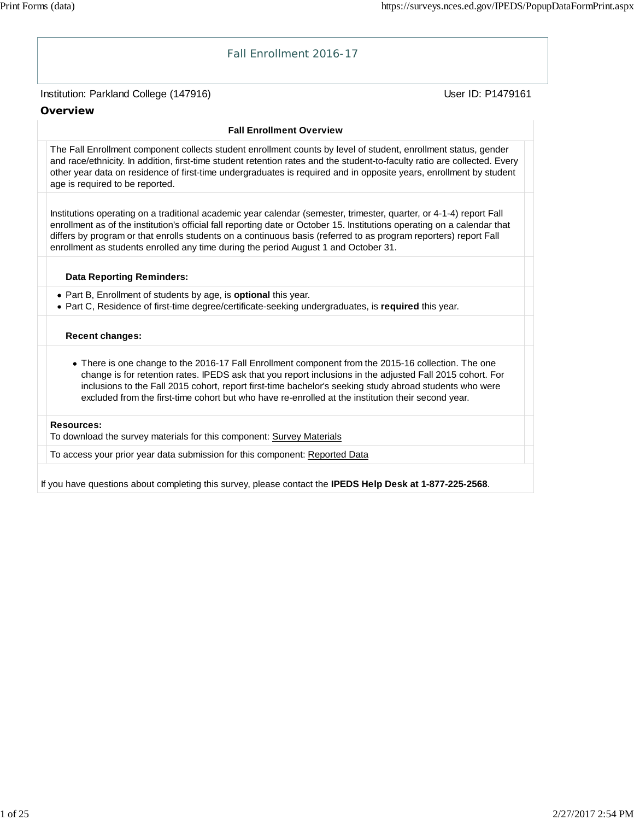

If you have questions about completing this survey, please contact the **IPEDS Help Desk at 1-877-225-2568**.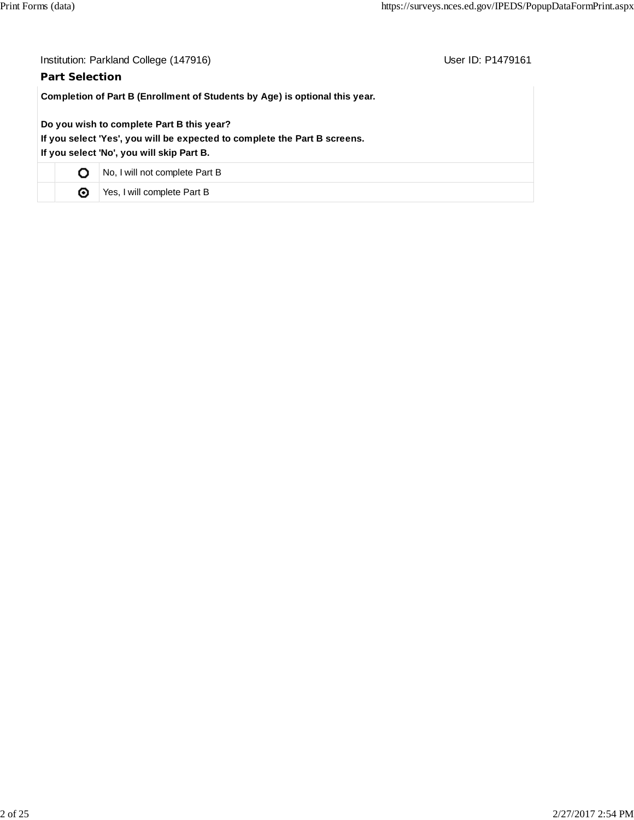| Institution: Parkland College (147916)<br>User ID: P1479161<br><b>Part Selection</b>                                                                                |                                |  |  |  |  |
|---------------------------------------------------------------------------------------------------------------------------------------------------------------------|--------------------------------|--|--|--|--|
| Completion of Part B (Enrollment of Students by Age) is optional this year.                                                                                         |                                |  |  |  |  |
| Do you wish to complete Part B this year?<br>If you select 'Yes', you will be expected to complete the Part B screens.<br>If you select 'No', you will skip Part B. |                                |  |  |  |  |
| Ο                                                                                                                                                                   | No, I will not complete Part B |  |  |  |  |
| ◉                                                                                                                                                                   | Yes, I will complete Part B    |  |  |  |  |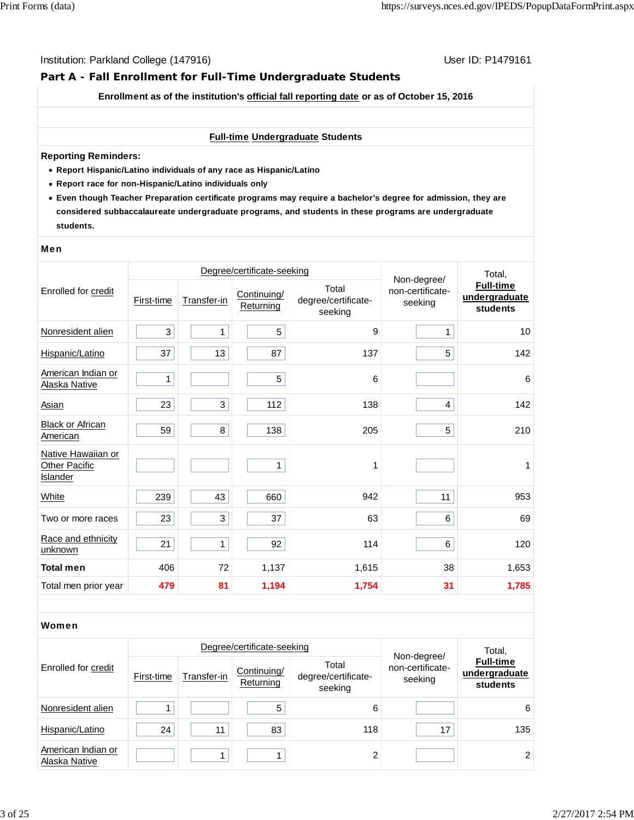# **Part A - Fall Enrollment for Full-Time Undergraduate Students**

**Enrollment as of the institution's official fall reporting date or as of October 15, 2016**

#### **Full-time Undergraduate Students**

#### **Reporting Reminders:**

- **Report Hispanic/Latino individuals of any race as Hispanic/Latino**
- **Report race for non-Hispanic/Latino individuals only**
- **Even though Teacher Preparation certificate programs may require a bachelor's degree for admission, they are considered subbaccalaureate undergraduate programs, and students in these programs are undergraduate students.**

#### Men

|                                                        |            | Degree/certificate-seeking | Non-degree/              | Total,                                  |                             |                                               |  |
|--------------------------------------------------------|------------|----------------------------|--------------------------|-----------------------------------------|-----------------------------|-----------------------------------------------|--|
| Enrolled for credit                                    | First-time | Transfer-in                | Continuing/<br>Returning | Total<br>degree/certificate-<br>seeking | non-certificate-<br>seeking | <b>Full-time</b><br>undergraduate<br>students |  |
| Nonresident alien                                      | 3          | $\mathbf{1}$               | 5                        | 9                                       | 1                           | 10                                            |  |
| Hispanic/Latino                                        | 37         | 13                         | 87                       | 137                                     | 5                           | 142                                           |  |
| American Indian or<br>Alaska Native                    | 1          |                            | 5                        | 6                                       |                             | $\,6$                                         |  |
| <b>Asian</b>                                           | 23         | 3                          | 112                      | 138                                     | 4                           | 142                                           |  |
| <b>Black or African</b><br>American                    | 59         | 8                          | 138                      | 205                                     | 5                           | 210                                           |  |
| Native Hawaiian or<br><b>Other Pacific</b><br>Islander |            |                            | 1                        | 1                                       |                             | 1                                             |  |
| <b>White</b>                                           | 239        | 43                         | 660                      | 942                                     | 11                          | 953                                           |  |
| Two or more races                                      | 23         | 3                          | 37                       | 63                                      | 6                           | 69                                            |  |
| Race and ethnicity<br>unknown                          | 21         | $\mathbf{1}$               | 92                       | 114                                     | 6                           | 120                                           |  |
| <b>Total men</b>                                       | 406        | 72                         | 1,137                    | 1,615                                   | 38                          | 1,653                                         |  |
| Total men prior year                                   | 479        | 81                         | 1,194                    | 1,754                                   | 31                          | 1,785                                         |  |

#### Women

|                                     |            |             | Degree/certificate-seeking |                                         | Total,                                     |                                               |  |
|-------------------------------------|------------|-------------|----------------------------|-----------------------------------------|--------------------------------------------|-----------------------------------------------|--|
| Enrolled for credit                 | First-time | Transfer-in | Continuing/<br>Returning   | Total<br>degree/certificate-<br>seeking | Non-degree/<br>non-certificate-<br>seeking | <b>Full-time</b><br>undergraduate<br>students |  |
| Nonresident alien                   |            |             | 5                          | 6                                       |                                            | 6                                             |  |
| Hispanic/Latino                     | 24         | 11          | 83                         | 118                                     | 17                                         | 135                                           |  |
| American Indian or<br>Alaska Native |            |             |                            | ↑                                       |                                            | 2                                             |  |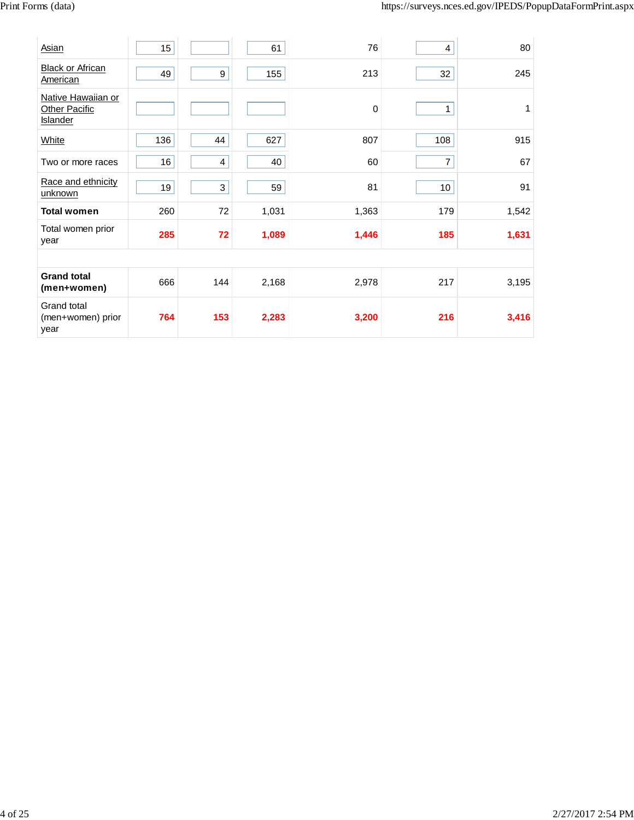| Asian                                                  | 15  |                | 61    | 76    | 4   | 80    |
|--------------------------------------------------------|-----|----------------|-------|-------|-----|-------|
| <b>Black or African</b><br>American                    | 49  | 9              | 155   | 213   | 32  | 245   |
| Native Hawaiian or<br><b>Other Pacific</b><br>Islander |     |                |       | 0     | 1   | 1     |
| White                                                  | 136 | 44             | 627   | 807   | 108 | 915   |
| Two or more races                                      | 16  | $\overline{4}$ | 40    | 60    | 7   | 67    |
| Race and ethnicity<br>unknown                          | 19  | 3              | 59    | 81    | 10  | 91    |
| <b>Total women</b>                                     | 260 | 72             | 1,031 | 1,363 | 179 | 1,542 |
| Total women prior<br>year                              | 285 | 72             | 1,089 | 1,446 | 185 | 1,631 |
|                                                        |     |                |       |       |     |       |
| <b>Grand total</b><br>(men+women)                      | 666 | 144            | 2,168 | 2,978 | 217 | 3,195 |
| Grand total<br>(men+women) prior<br>year               | 764 | 153            | 2,283 | 3,200 | 216 | 3,416 |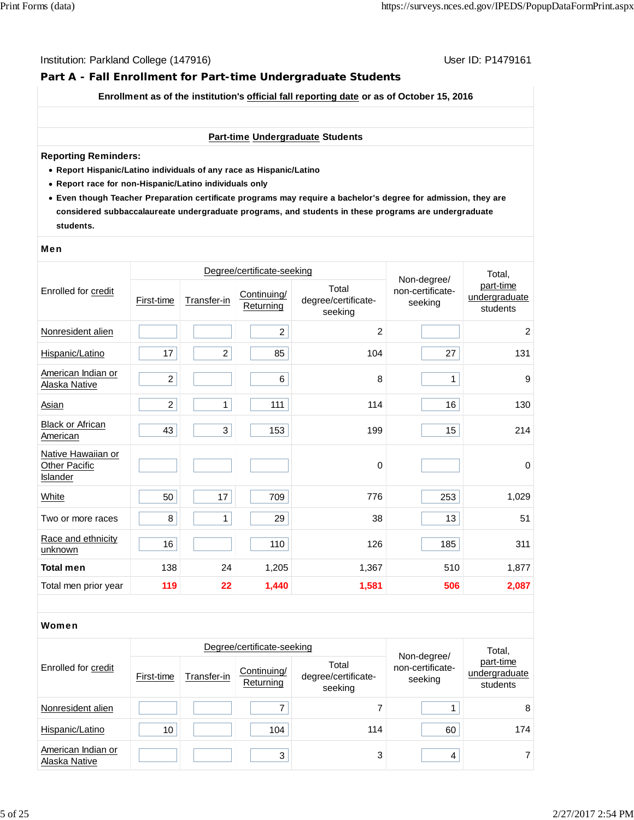# **Part A - Fall Enrollment for Part-time Undergraduate Students**

**Enrollment as of the institution's official fall reporting date or as of October 15, 2016**

#### **Part-time Undergraduate Students**

#### **Reporting Reminders:**

- **Report Hispanic/Latino individuals of any race as Hispanic/Latino**
- **Report race for non-Hispanic/Latino individuals only**
- **Even though Teacher Preparation certificate programs may require a bachelor's degree for admission, they are considered subbaccalaureate undergraduate programs, and students in these programs are undergraduate students.**

#### Men

|                                                        |                | Degree/certificate-seeking | Non-degree/              | Total,                                  |                             |                                        |  |
|--------------------------------------------------------|----------------|----------------------------|--------------------------|-----------------------------------------|-----------------------------|----------------------------------------|--|
| Enrolled for credit                                    | First-time     | Transfer-in                | Continuing/<br>Returning | Total<br>degree/certificate-<br>seeking | non-certificate-<br>seeking | part-time<br>undergraduate<br>students |  |
| Nonresident alien                                      |                |                            | $\overline{c}$           | 2                                       |                             | 2                                      |  |
| Hispanic/Latino                                        | 17             | $\overline{2}$             | 85                       | 104                                     | 27                          | 131                                    |  |
| American Indian or<br>Alaska Native                    | $\overline{c}$ |                            | 6                        | 8                                       | 1                           | 9                                      |  |
| Asian                                                  | $\overline{2}$ | 1                          | 111                      | 114                                     | 16                          | 130                                    |  |
| <b>Black or African</b><br>American                    | 43             | 3                          | 153                      | 199                                     | 15                          | 214                                    |  |
| Native Hawaiian or<br><b>Other Pacific</b><br>Islander |                |                            |                          | 0                                       |                             | $\pmb{0}$                              |  |
| White                                                  | 50             | 17                         | 709                      | 776                                     | 253                         | 1,029                                  |  |
| Two or more races                                      | 8              | 1                          | 29                       | 38                                      | 13                          | 51                                     |  |
| Race and ethnicity<br>unknown                          | 16             |                            | 110                      | 126                                     | 185                         | 311                                    |  |
| <b>Total men</b>                                       | 138            | 24                         | 1,205                    | 1,367                                   | 510                         | 1,877                                  |  |
| Total men prior year                                   | 119            | 22                         | 1,440                    | 1,581                                   | 506                         | 2,087                                  |  |

#### Women

|                                     |            | Degree/certificate-seeking |                          | Total,                                  |                                            |                                        |  |
|-------------------------------------|------------|----------------------------|--------------------------|-----------------------------------------|--------------------------------------------|----------------------------------------|--|
| Enrolled for credit                 | First-time | Transfer-in                | Continuing/<br>Returning | Total<br>degree/certificate-<br>seeking | Non-degree/<br>non-certificate-<br>seeking | part-time<br>undergraduate<br>students |  |
| Nonresident alien                   |            |                            |                          |                                         |                                            | 8                                      |  |
| Hispanic/Latino                     | 10         |                            | 104                      | 114                                     | 60                                         | 174                                    |  |
| American Indian or<br>Alaska Native |            |                            | 3                        | 3                                       | 4                                          |                                        |  |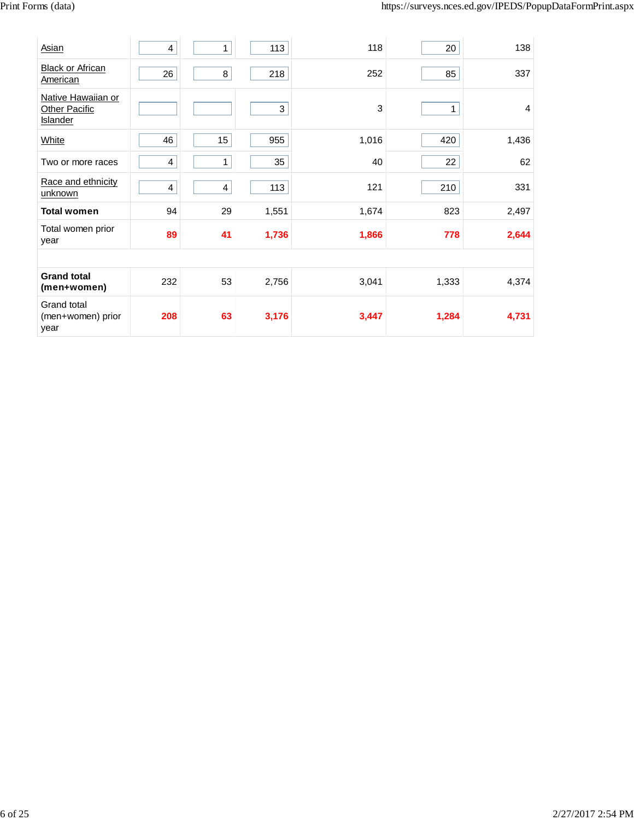| Asian                                                  | 4              | 1                       | 113   | 118   | 20    | 138            |  |  |
|--------------------------------------------------------|----------------|-------------------------|-------|-------|-------|----------------|--|--|
| <b>Black or African</b><br>American                    | 26             | 8                       | 218   | 252   | 85    | 337            |  |  |
| Native Hawaiian or<br><b>Other Pacific</b><br>Islander |                |                         | 3     | 3     | 1     | $\overline{4}$ |  |  |
| White                                                  | 46             | 15                      | 955   | 1,016 | 420   | 1,436          |  |  |
| Two or more races                                      | 4              | 1                       | 35    | 40    | 22    | 62             |  |  |
| Race and ethnicity<br>unknown                          | $\overline{4}$ | $\overline{\mathbf{4}}$ | 113   | 121   | 210   | 331            |  |  |
| <b>Total women</b>                                     | 94             | 29                      | 1,551 | 1,674 | 823   | 2,497          |  |  |
| Total women prior<br>year                              | 89             | 41                      | 1,736 | 1,866 | 778   | 2,644          |  |  |
|                                                        |                |                         |       |       |       |                |  |  |
| <b>Grand total</b><br>(men+women)                      | 232            | 53                      | 2,756 | 3,041 | 1,333 | 4,374          |  |  |
| Grand total<br>(men+women) prior<br>year               | 208            | 63                      | 3,176 | 3,447 | 1,284 | 4,731          |  |  |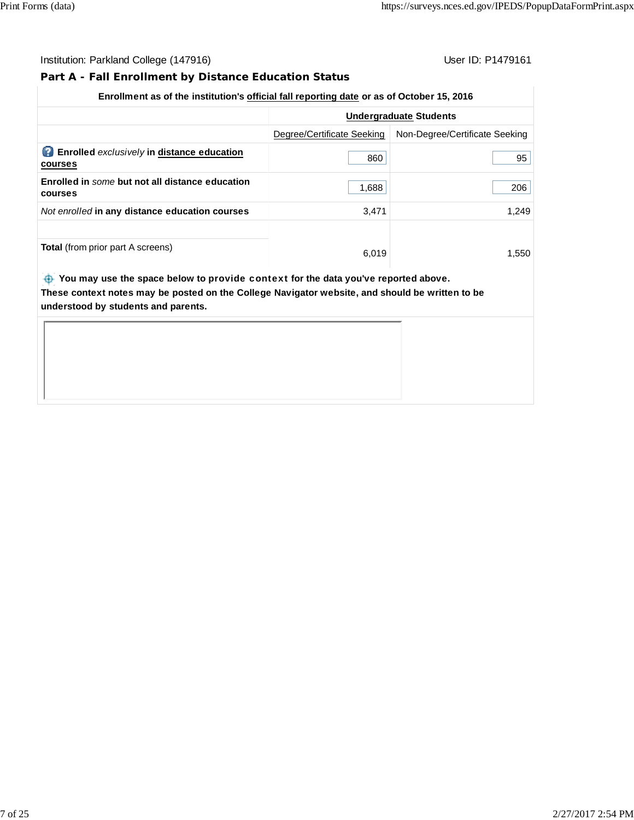# **Part A - Fall Enrollment by Distance Education Status**

# **Enrollment as of the institution's official fall reporting date or as of October 15, 2016**

|                                                                    | <b>Undergraduate Students</b> |                                |  |  |
|--------------------------------------------------------------------|-------------------------------|--------------------------------|--|--|
|                                                                    | Degree/Certificate Seeking    | Non-Degree/Certificate Seeking |  |  |
| P)<br><b>Enrolled</b> exclusively in distance education<br>courses | 860                           | 95                             |  |  |
| Enrolled in some but not all distance education<br>courses         | 1,688                         | 206                            |  |  |
| Not enrolled in any distance education courses                     | 3,471                         | 1.249                          |  |  |
|                                                                    |                               |                                |  |  |
| <b>Total</b> (from prior part A screens)                           | 6,019                         | 1,550                          |  |  |

 **You may use the space below to** provide context **for the data you've reported above. These context notes may be posted on the College Navigator website, and should be written to be understood by students and parents.**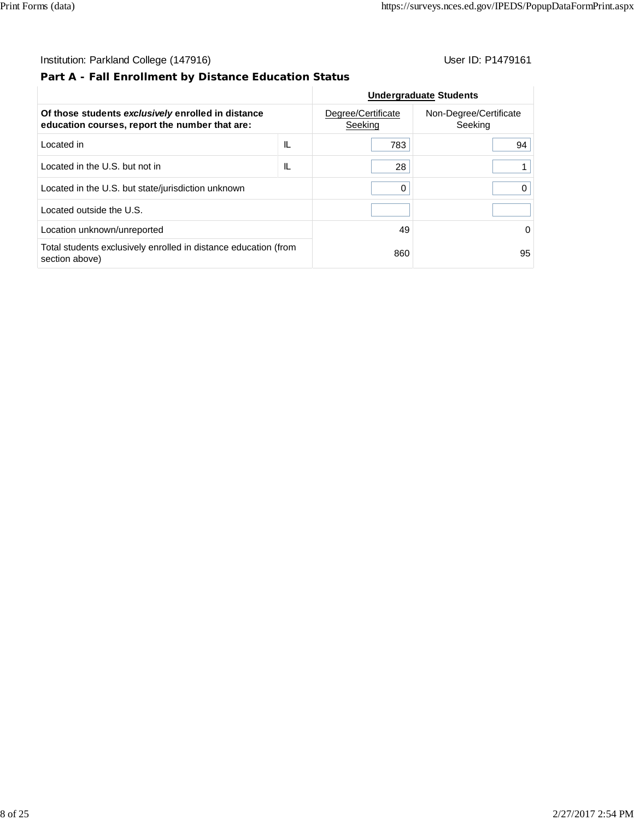# **Part A - Fall Enrollment by Distance Education Status**

|                                                                                                      |     |                               | <b>Undergraduate Students</b>     |
|------------------------------------------------------------------------------------------------------|-----|-------------------------------|-----------------------------------|
| Of those students exclusively enrolled in distance<br>education courses, report the number that are: |     | Degree/Certificate<br>Seeking | Non-Degree/Certificate<br>Seeking |
| Located in                                                                                           | IL. | 783                           | 94                                |
| Located in the U.S. but not in                                                                       | IL  | 28                            |                                   |
| Located in the U.S. but state/jurisdiction unknown                                                   |     | 0                             |                                   |
| Located outside the U.S.                                                                             |     |                               |                                   |
| Location unknown/unreported                                                                          |     | 49                            | 0                                 |
| Total students exclusively enrolled in distance education (from<br>section above)                    |     | 860                           | 95                                |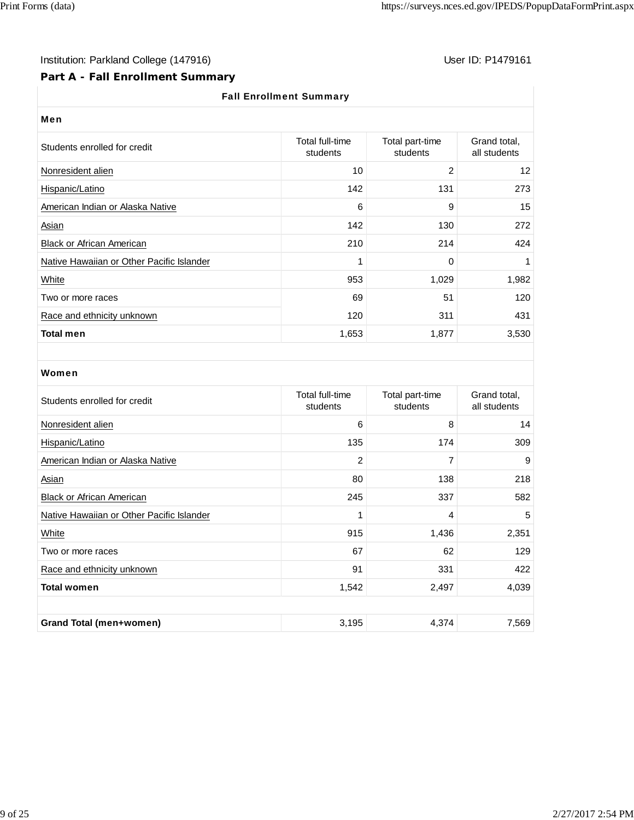# Institution: Parkland College (147916) Note that the User ID: P1479161

# **Part A - Fall Enrollment Summary**

#### Fall Enrollment Summary

| User ID: P14791 |  |  |  |  |
|-----------------|--|--|--|--|
|-----------------|--|--|--|--|

| <b>Fall Enrollment Summary</b>            |                             |                             |                              |  |  |  |  |
|-------------------------------------------|-----------------------------|-----------------------------|------------------------------|--|--|--|--|
| Men                                       |                             |                             |                              |  |  |  |  |
| Students enrolled for credit              | Total full-time<br>students | Total part-time<br>students | Grand total,<br>all students |  |  |  |  |
| Nonresident alien                         | 10                          | 2                           | 12                           |  |  |  |  |
| Hispanic/Latino                           | 142                         | 131                         | 273                          |  |  |  |  |
| American Indian or Alaska Native          | 6                           | 9                           | 15                           |  |  |  |  |
| Asian                                     | 142                         | 130                         | 272                          |  |  |  |  |
| <b>Black or African American</b>          | 210                         | 214                         | 424                          |  |  |  |  |
| Native Hawaiian or Other Pacific Islander | 1                           | 0                           | 1                            |  |  |  |  |
| White                                     | 953                         | 1,029                       | 1,982                        |  |  |  |  |
| Two or more races                         | 69                          | 51                          | 120                          |  |  |  |  |
| Race and ethnicity unknown                | 120                         | 311                         | 431                          |  |  |  |  |
| <b>Total men</b>                          | 1,653                       | 1,877                       | 3,530                        |  |  |  |  |

#### Women

| Students enrolled for credit              | Total full-time<br>students | Total part-time<br>students | Grand total,<br>all students |
|-------------------------------------------|-----------------------------|-----------------------------|------------------------------|
| Nonresident alien                         | 6                           | 8                           | 14                           |
| Hispanic/Latino                           | 135                         | 174                         | 309                          |
| American Indian or Alaska Native          | 2                           | 7                           | 9                            |
| <b>Asian</b>                              | 80                          | 138                         | 218                          |
| <b>Black or African American</b>          | 245                         | 337                         | 582                          |
| Native Hawaiian or Other Pacific Islander | 1                           | 4                           | 5                            |
| White                                     | 915                         | 1,436                       | 2,351                        |
| Two or more races                         | 67                          | 62                          | 129                          |
| Race and ethnicity unknown                | 91                          | 331                         | 422                          |
| <b>Total women</b>                        | 1,542                       | 2,497                       | 4,039                        |
|                                           |                             |                             |                              |
| Grand Total (men+women)                   | 3,195                       | 4,374                       | 7,569                        |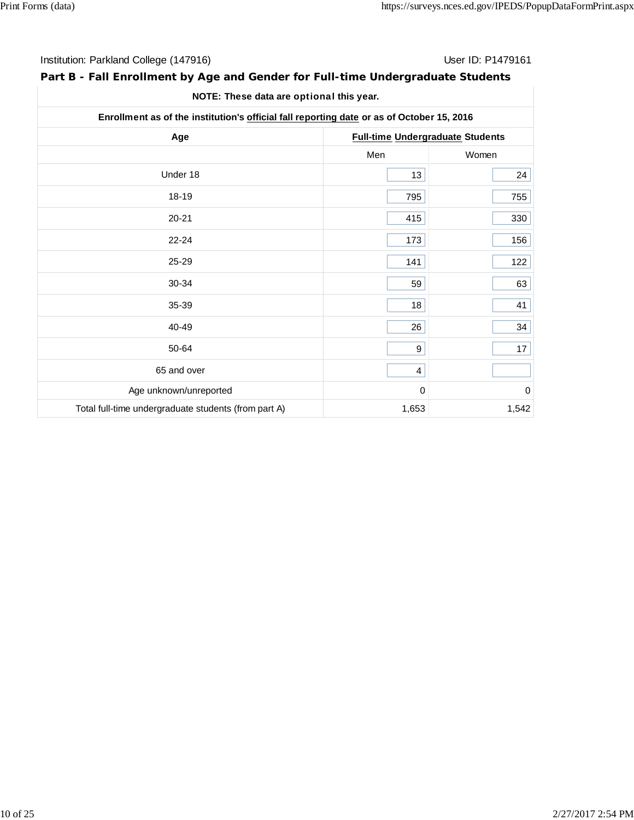| Institution: Parkland College (147916) | User ID: P1479161 |
|----------------------------------------|-------------------|
|----------------------------------------|-------------------|

# **Part B - Fall Enrollment by Age and Gender for Full-time Undergraduate Students**

| NOTE: These data are optional this year. |  |
|------------------------------------------|--|
|------------------------------------------|--|

| Enrollment as of the institution's official fall reporting date or as of October 15, 2016 |                                         |                  |  |  |
|-------------------------------------------------------------------------------------------|-----------------------------------------|------------------|--|--|
| Age                                                                                       | <b>Full-time Undergraduate Students</b> |                  |  |  |
|                                                                                           | Men                                     | Women            |  |  |
| Under 18                                                                                  | 13                                      | 24               |  |  |
| 18-19                                                                                     | 795                                     | 755              |  |  |
| $20 - 21$                                                                                 | 415                                     | 330              |  |  |
| $22 - 24$                                                                                 | 173                                     | 156              |  |  |
| 25-29                                                                                     | 141                                     | 122              |  |  |
| 30-34                                                                                     | 59                                      | 63               |  |  |
| 35-39                                                                                     | 18                                      | 41               |  |  |
| 40-49                                                                                     | 26                                      | 34               |  |  |
| 50-64                                                                                     | 9                                       | 17               |  |  |
| 65 and over                                                                               | 4                                       |                  |  |  |
| Age unknown/unreported                                                                    | $\mathbf 0$                             | $\boldsymbol{0}$ |  |  |
| Total full-time undergraduate students (from part A)                                      | 1,653                                   | 1,542            |  |  |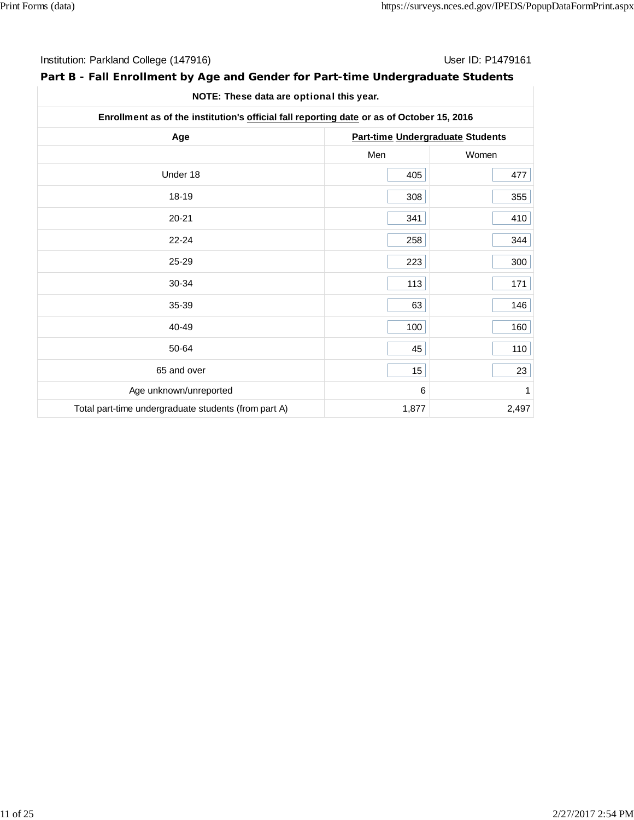| Institution: Parkland College (147916) | User ID: P1479161 |
|----------------------------------------|-------------------|
|----------------------------------------|-------------------|

# **Part B - Fall Enrollment by Age and Gender for Part-time Undergraduate Students**

| Enrollment as of the institution's official fall reporting date or as of October 15, 2016 |                                  |       |  |  |
|-------------------------------------------------------------------------------------------|----------------------------------|-------|--|--|
| Age                                                                                       | Part-time Undergraduate Students |       |  |  |
|                                                                                           | Men                              | Women |  |  |
| Under 18                                                                                  | 405                              | 477   |  |  |
| 18-19                                                                                     | 308                              | 355   |  |  |
| $20 - 21$                                                                                 | 341                              | 410   |  |  |
| $22 - 24$                                                                                 | 258                              | 344   |  |  |
| 25-29                                                                                     | 223                              | 300   |  |  |
| 30-34                                                                                     | 113                              | 171   |  |  |
| 35-39                                                                                     | 63                               | 146   |  |  |
| 40-49                                                                                     | 100                              | 160   |  |  |
| 50-64                                                                                     | 45                               | 110   |  |  |
| 65 and over                                                                               | 15                               | 23    |  |  |
| Age unknown/unreported                                                                    | 6                                | 1     |  |  |
| Total part-time undergraduate students (from part A)                                      | 1,877                            | 2,497 |  |  |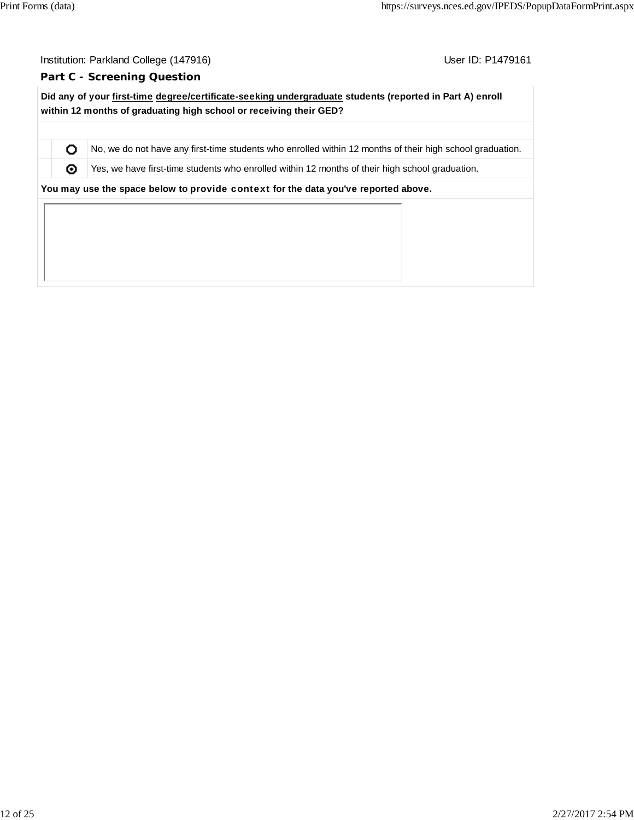O ⊚

User ID: P1479161

#### **Part C - Screening Question**

**Did any of your first-time degree/certificate-seeking undergraduate students (reported in Part A) enroll within 12 months of graduating high school or receiving their GED?**

No, we do not have any first-time students who enrolled within 12 months of their high school graduation.

Yes, we have first-time students who enrolled within 12 months of their high school graduation.

**You may use the space below to** provide context **for the data you've reported above.**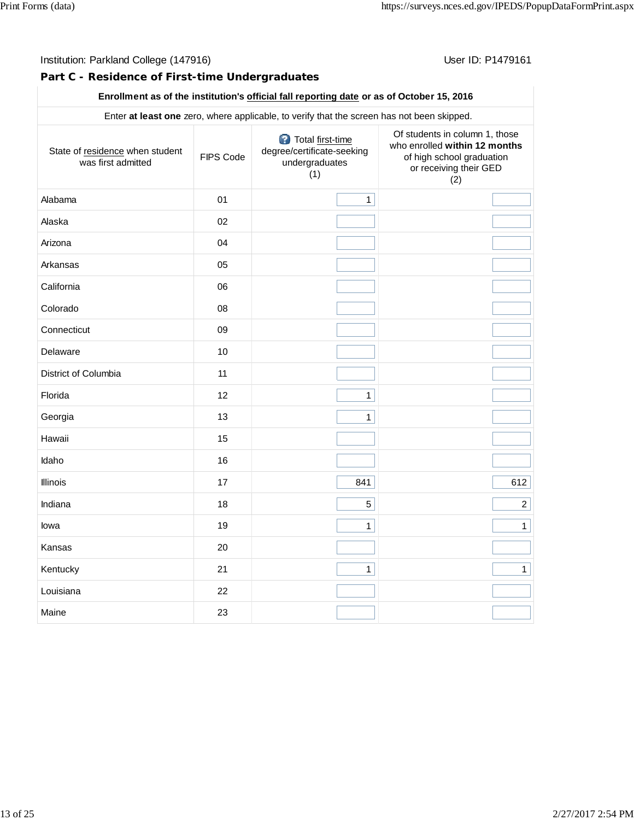### **Part C - Residence of First-time Undergraduates**

#### **Enrollment as of the institution's official fall reporting date or as of October 15, 2016**

| Enter at least one zero, where applicable, to verify that the screen has not been skipped. |           |                                                                         |                                                                                                                               |  |  |  |  |
|--------------------------------------------------------------------------------------------|-----------|-------------------------------------------------------------------------|-------------------------------------------------------------------------------------------------------------------------------|--|--|--|--|
| State of residence when student<br>was first admitted                                      | FIPS Code | Total first-time<br>degree/certificate-seeking<br>undergraduates<br>(1) | Of students in column 1, those<br>who enrolled within 12 months<br>of high school graduation<br>or receiving their GED<br>(2) |  |  |  |  |
| Alabama                                                                                    | 01        | $\mathbf{1}$                                                            |                                                                                                                               |  |  |  |  |
| Alaska                                                                                     | 02        |                                                                         |                                                                                                                               |  |  |  |  |
| Arizona                                                                                    | 04        |                                                                         |                                                                                                                               |  |  |  |  |
| Arkansas                                                                                   | 05        |                                                                         |                                                                                                                               |  |  |  |  |
| California                                                                                 | 06        |                                                                         |                                                                                                                               |  |  |  |  |
| Colorado                                                                                   | 08        |                                                                         |                                                                                                                               |  |  |  |  |
| Connecticut                                                                                | 09        |                                                                         |                                                                                                                               |  |  |  |  |
| Delaware                                                                                   | 10        |                                                                         |                                                                                                                               |  |  |  |  |
| District of Columbia                                                                       | 11        |                                                                         |                                                                                                                               |  |  |  |  |
| Florida                                                                                    | 12        | $\mathbf{1}$                                                            |                                                                                                                               |  |  |  |  |
| Georgia                                                                                    | 13        | $\mathbf{1}$                                                            |                                                                                                                               |  |  |  |  |
| Hawaii                                                                                     | 15        |                                                                         |                                                                                                                               |  |  |  |  |
| Idaho                                                                                      | 16        |                                                                         |                                                                                                                               |  |  |  |  |
| <b>Illinois</b>                                                                            | 17        | 841                                                                     | 612                                                                                                                           |  |  |  |  |
| Indiana                                                                                    | 18        | 5                                                                       | $2\vert$                                                                                                                      |  |  |  |  |
| lowa                                                                                       | 19        | $\mathbf{1}$                                                            | $\mathbf{1}$                                                                                                                  |  |  |  |  |
| Kansas                                                                                     | 20        |                                                                         |                                                                                                                               |  |  |  |  |
| Kentucky                                                                                   | 21        | $\mathbf{1}$                                                            | 1                                                                                                                             |  |  |  |  |
| Louisiana                                                                                  | 22        |                                                                         |                                                                                                                               |  |  |  |  |
| Maine                                                                                      | 23        |                                                                         |                                                                                                                               |  |  |  |  |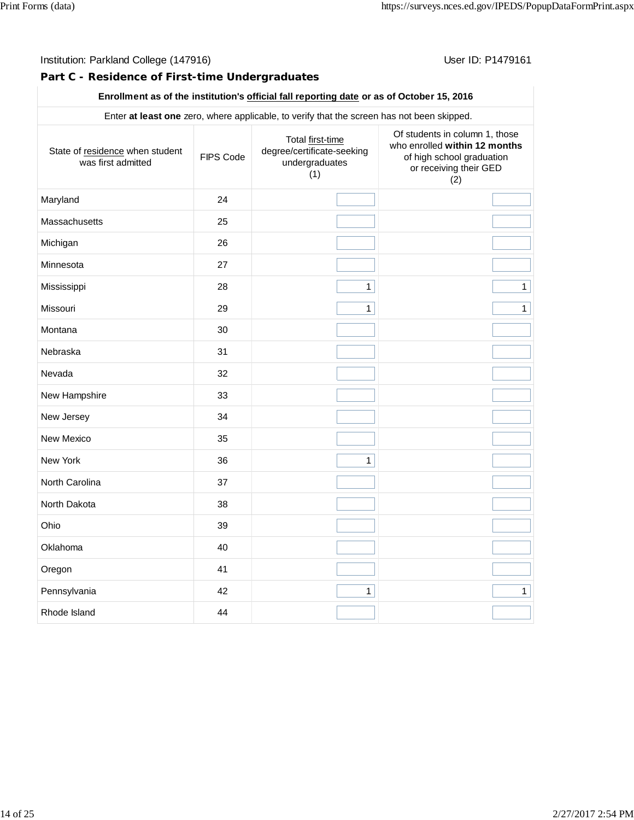#### Institution: Parkland College (147916) **Institution: Parkland College (1479161**

### **Part C - Residence of First-time Undergraduates**

#### **Enrollment as of the institution's official fall reporting date or as of October 15, 2016**

| Enter at least one zero, where applicable, to verify that the screen has not been skipped. |           |                                                                         |                                                                                                                               |  |  |  |  |
|--------------------------------------------------------------------------------------------|-----------|-------------------------------------------------------------------------|-------------------------------------------------------------------------------------------------------------------------------|--|--|--|--|
| State of residence when student<br>was first admitted                                      | FIPS Code | Total first-time<br>degree/certificate-seeking<br>undergraduates<br>(1) | Of students in column 1, those<br>who enrolled within 12 months<br>of high school graduation<br>or receiving their GED<br>(2) |  |  |  |  |
| Maryland                                                                                   | 24        |                                                                         |                                                                                                                               |  |  |  |  |
| Massachusetts                                                                              | 25        |                                                                         |                                                                                                                               |  |  |  |  |
| Michigan                                                                                   | 26        |                                                                         |                                                                                                                               |  |  |  |  |
| Minnesota                                                                                  | 27        |                                                                         |                                                                                                                               |  |  |  |  |
| Mississippi                                                                                | 28        | $\mathbf{1}$                                                            | $\mathbf{1}$                                                                                                                  |  |  |  |  |
| Missouri                                                                                   | 29        | $\mathbf{1}$                                                            | $\mathbf{1}$                                                                                                                  |  |  |  |  |
| Montana                                                                                    | 30        |                                                                         |                                                                                                                               |  |  |  |  |
| Nebraska                                                                                   | 31        |                                                                         |                                                                                                                               |  |  |  |  |
| Nevada                                                                                     | 32        |                                                                         |                                                                                                                               |  |  |  |  |
| New Hampshire                                                                              | 33        |                                                                         |                                                                                                                               |  |  |  |  |
| New Jersey                                                                                 | 34        |                                                                         |                                                                                                                               |  |  |  |  |
| New Mexico                                                                                 | 35        |                                                                         |                                                                                                                               |  |  |  |  |
| New York                                                                                   | 36        | $\mathbf{1}$                                                            |                                                                                                                               |  |  |  |  |
| North Carolina                                                                             | 37        |                                                                         |                                                                                                                               |  |  |  |  |
| North Dakota                                                                               | 38        |                                                                         |                                                                                                                               |  |  |  |  |
| Ohio                                                                                       | 39        |                                                                         |                                                                                                                               |  |  |  |  |
| Oklahoma                                                                                   | 40        |                                                                         |                                                                                                                               |  |  |  |  |
| Oregon                                                                                     | 41        |                                                                         |                                                                                                                               |  |  |  |  |
| Pennsylvania                                                                               | 42        | $\mathbf{1}$                                                            | $\mathbf{1}$                                                                                                                  |  |  |  |  |
| Rhode Island                                                                               | 44        |                                                                         |                                                                                                                               |  |  |  |  |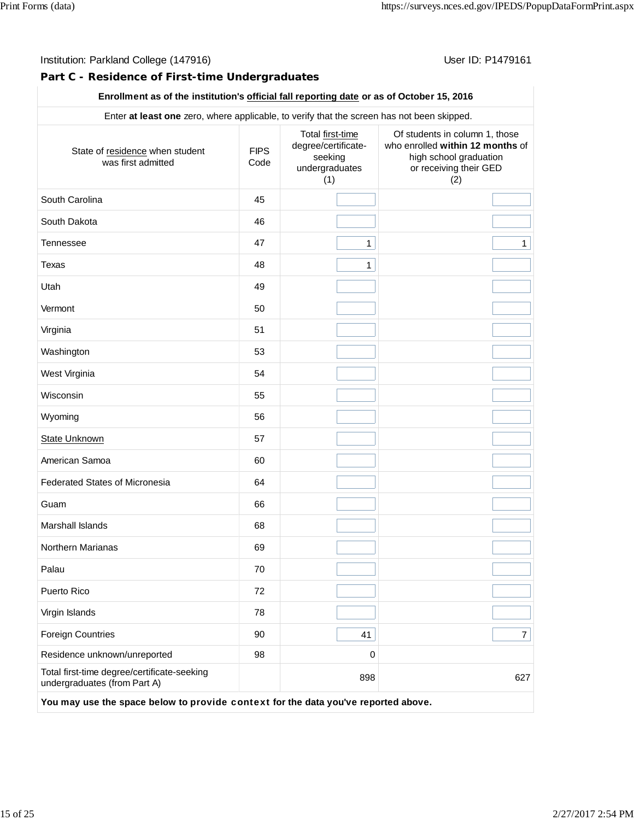#### **Part C - Residence of First-time Undergraduates**

### **Enrollment as of the institution's official fall reporting date or as of October 15, 2016**

| Enter at least one zero, where applicable, to verify that the screen has not been skipped. |                     |                                                                             |                                                                                                                               |  |
|--------------------------------------------------------------------------------------------|---------------------|-----------------------------------------------------------------------------|-------------------------------------------------------------------------------------------------------------------------------|--|
| State of residence when student<br>was first admitted                                      | <b>FIPS</b><br>Code | Total first-time<br>degree/certificate-<br>seeking<br>undergraduates<br>(1) | Of students in column 1, those<br>who enrolled within 12 months of<br>high school graduation<br>or receiving their GED<br>(2) |  |
| South Carolina                                                                             | 45                  |                                                                             |                                                                                                                               |  |
| South Dakota                                                                               | 46                  |                                                                             |                                                                                                                               |  |
| <b>Tennessee</b>                                                                           | 47                  | $\mathbf{1}$                                                                | $\mathbf{1}$                                                                                                                  |  |
| Texas                                                                                      | 48                  | $\mathbf{1}$                                                                |                                                                                                                               |  |
| Utah                                                                                       | 49                  |                                                                             |                                                                                                                               |  |
| Vermont                                                                                    | 50                  |                                                                             |                                                                                                                               |  |
| Virginia                                                                                   | 51                  |                                                                             |                                                                                                                               |  |
| Washington                                                                                 | 53                  |                                                                             |                                                                                                                               |  |
| West Virginia                                                                              | 54                  |                                                                             |                                                                                                                               |  |
| Wisconsin                                                                                  | 55                  |                                                                             |                                                                                                                               |  |
| Wyoming                                                                                    | 56                  |                                                                             |                                                                                                                               |  |
| <b>State Unknown</b>                                                                       | 57                  |                                                                             |                                                                                                                               |  |
| American Samoa                                                                             | 60                  |                                                                             |                                                                                                                               |  |
| <b>Federated States of Micronesia</b>                                                      | 64                  |                                                                             |                                                                                                                               |  |
| Guam                                                                                       | 66                  |                                                                             |                                                                                                                               |  |
| Marshall Islands                                                                           | 68                  |                                                                             |                                                                                                                               |  |
| Northern Marianas                                                                          | 69                  |                                                                             |                                                                                                                               |  |
| Palau                                                                                      | 70                  |                                                                             |                                                                                                                               |  |
| Puerto Rico                                                                                | 72                  |                                                                             |                                                                                                                               |  |
| Virgin Islands                                                                             | 78                  |                                                                             |                                                                                                                               |  |
| <b>Foreign Countries</b>                                                                   | 90                  | 41                                                                          | $\overline{7}$                                                                                                                |  |
| Residence unknown/unreported                                                               | 98                  | 0                                                                           |                                                                                                                               |  |
| Total first-time degree/certificate-seeking<br>undergraduates (from Part A)                |                     | 898                                                                         | 627                                                                                                                           |  |
| You may use the space below to provide context for the data you've reported above.         |                     |                                                                             |                                                                                                                               |  |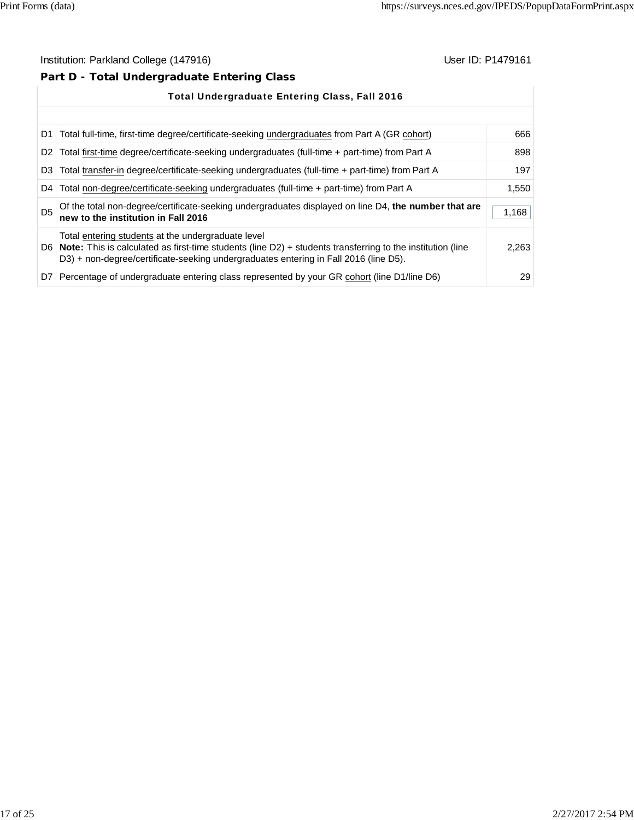# **Part D - Total Undergraduate Entering Class**

|                | <b>Total Undergraduate Entering Class, Fall 2016</b>                                                                                                                                                                                                             |       |  |  |
|----------------|------------------------------------------------------------------------------------------------------------------------------------------------------------------------------------------------------------------------------------------------------------------|-------|--|--|
|                |                                                                                                                                                                                                                                                                  |       |  |  |
|                | D1   Total full-time, first-time degree/certificate-seeking undergraduates from Part A (GR cohort)                                                                                                                                                               | 666   |  |  |
|                | D2 Total first-time degree/certificate-seeking undergraduates (full-time + part-time) from Part A                                                                                                                                                                | 898   |  |  |
|                | D3 Total transfer-in degree/certificate-seeking undergraduates (full-time + part-time) from Part A                                                                                                                                                               | 197   |  |  |
| D4 l           | Total non-degree/certificate-seeking undergraduates (full-time + part-time) from Part A                                                                                                                                                                          | 1,550 |  |  |
| D <sub>5</sub> | Of the total non-degree/certificate-seeking undergraduates displayed on line D4, the number that are<br>new to the institution in Fall 2016                                                                                                                      | 1,168 |  |  |
|                | Total entering students at the undergraduate level<br>D6   Note: This is calculated as first-time students (line $D2$ ) + students transferring to the institution (line<br>D3) + non-degree/certificate-seeking undergraduates entering in Fall 2016 (line D5). | 2,263 |  |  |
|                | D7 Percentage of undergraduate entering class represented by your GR cohort (line D1/line D6)                                                                                                                                                                    | 29    |  |  |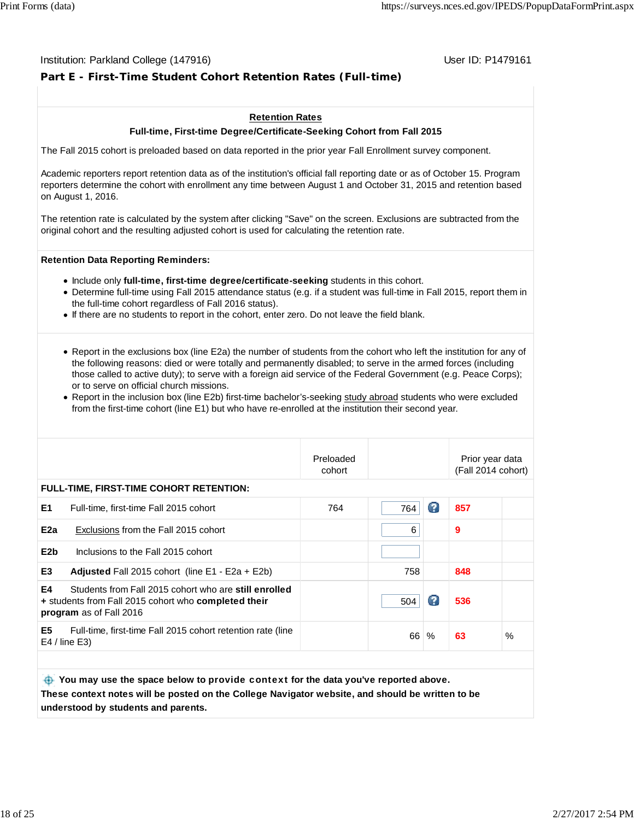#### Institution: Parkland College (147916) November 2012 12: P1479161

# **Part E - First-Time Student Cohort Retention Rates (Full-time)**

#### **Retention Rates**

#### **Full-time, First-time Degree/Certificate-Seeking Cohort from Fall 2015**

The Fall 2015 cohort is preloaded based on data reported in the prior year Fall Enrollment survey component.

Academic reporters report retention data as of the institution's official fall reporting date or as of October 15. Program reporters determine the cohort with enrollment any time between August 1 and October 31, 2015 and retention based on August 1, 2016.

The retention rate is calculated by the system after clicking "Save" on the screen. Exclusions are subtracted from the original cohort and the resulting adjusted cohort is used for calculating the retention rate.

#### **Retention Data Reporting Reminders:**

- **Include only full-time, first-time degree/certificate-seeking students in this cohort.**
- Determine full-time using Fall 2015 attendance status (e.g. if a student was full-time in Fall 2015, report them in the full-time cohort regardless of Fall 2016 status).
- If there are no students to report in the cohort, enter zero. Do not leave the field blank.
- Report in the exclusions box (line E2a) the number of students from the cohort who left the institution for any of the following reasons: died or were totally and permanently disabled; to serve in the armed forces (including those called to active duty); to serve with a foreign aid service of the Federal Government (e.g. Peace Corps); or to serve on official church missions.
- Report in the inclusion box (line E2b) first-time bachelor's-seeking study abroad students who were excluded from the first-time cohort (line E1) but who have re-enrolled at the institution their second year.

|                       |                                                                                                                                                 | Preloaded<br>cohort |     |   | Prior year data<br>(Fall 2014 cohort) |      |
|-----------------------|-------------------------------------------------------------------------------------------------------------------------------------------------|---------------------|-----|---|---------------------------------------|------|
|                       | <b>FULL-TIME, FIRST-TIME COHORT RETENTION:</b>                                                                                                  |                     |     |   |                                       |      |
| E <sub>1</sub>        | Full-time, first-time Fall 2015 cohort                                                                                                          | 764                 | 764 | Ø | 857                                   |      |
| E <sub>2</sub> a      | Exclusions from the Fall 2015 cohort                                                                                                            |                     | 6   |   | 9                                     |      |
| E <sub>2</sub> b      | Inclusions to the Fall 2015 cohort                                                                                                              |                     |     |   |                                       |      |
| E3                    | <b>Adjusted</b> Fall 2015 cohort (line $E1 - E2a + E2b$ )                                                                                       |                     | 758 |   | 848                                   |      |
| E4                    | Students from Fall 2015 cohort who are still enrolled<br>+ students from Fall 2015 cohort who <b>completed their</b><br>program as of Fall 2016 |                     | 504 | Ø | 536                                   |      |
| E <sub>5</sub>        | Full-time, first-time Fall 2015 cohort retention rate (line<br>E4 / line E3                                                                     |                     | 66  | % | 63                                    | $\%$ |
|                       |                                                                                                                                                 |                     |     |   |                                       |      |
| <b>CALL TO LOCATE</b> |                                                                                                                                                 |                     |     |   |                                       |      |

 **You may use the space below to** provide context **for the data you've reported above. These context notes will be posted on the College Navigator website, and should be written to be understood by students and parents.**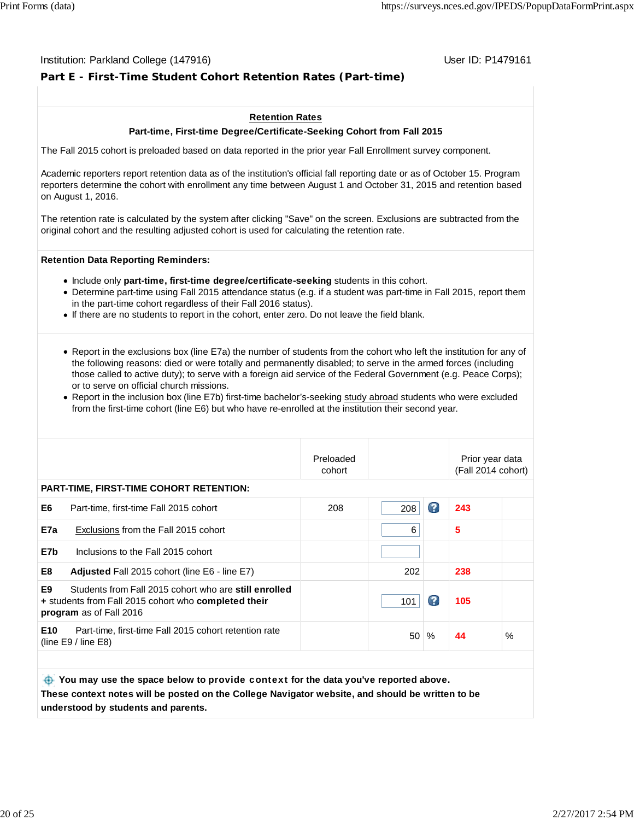#### Institution: Parkland College (147916) November 2012 12: P1479161

# **Part E - First-Time Student Cohort Retention Rates (Part-time)**

#### **Retention Rates**

#### **Part-time, First-time Degree/Certificate-Seeking Cohort from Fall 2015**

The Fall 2015 cohort is preloaded based on data reported in the prior year Fall Enrollment survey component.

Academic reporters report retention data as of the institution's official fall reporting date or as of October 15. Program reporters determine the cohort with enrollment any time between August 1 and October 31, 2015 and retention based on August 1, 2016.

The retention rate is calculated by the system after clicking "Save" on the screen. Exclusions are subtracted from the original cohort and the resulting adjusted cohort is used for calculating the retention rate.

#### **Retention Data Reporting Reminders:**

- Include only **part-time, first-time degree/certificate-seeking** students in this cohort.
- Determine part-time using Fall 2015 attendance status (e.g. if a student was part-time in Fall 2015, report them in the part-time cohort regardless of their Fall 2016 status).
- If there are no students to report in the cohort, enter zero. Do not leave the field blank.
- Report in the exclusions box (line E7a) the number of students from the cohort who left the institution for any of the following reasons: died or were totally and permanently disabled; to serve in the armed forces (including those called to active duty); to serve with a foreign aid service of the Federal Government (e.g. Peace Corps); or to serve on official church missions.
- Report in the inclusion box (line E7b) first-time bachelor's-seeking study abroad students who were excluded from the first-time cohort (line E6) but who have re-enrolled at the institution their second year.

|                  |                                                                                                                                                 | Preloaded<br>cohort |     |   | Prior year data<br>(Fall 2014 cohort) |      |
|------------------|-------------------------------------------------------------------------------------------------------------------------------------------------|---------------------|-----|---|---------------------------------------|------|
|                  | <b>PART-TIME, FIRST-TIME COHORT RETENTION:</b>                                                                                                  |                     |     |   |                                       |      |
| E6               | Part-time, first-time Fall 2015 cohort                                                                                                          | 208                 | 208 | Ø | 243                                   |      |
| E7a              | Exclusions from the Fall 2015 cohort                                                                                                            |                     | 6   |   | 5                                     |      |
| E7b              | Inclusions to the Fall 2015 cohort                                                                                                              |                     |     |   |                                       |      |
| E8               | <b>Adjusted</b> Fall 2015 cohort (line E6 - line E7)                                                                                            |                     | 202 |   | 238                                   |      |
| E9               | Students from Fall 2015 cohort who are still enrolled<br>+ students from Fall 2015 cohort who <b>completed their</b><br>program as of Fall 2016 |                     | 101 | Ø | 105                                   |      |
| E <sub>10</sub>  | Part-time, first-time Fall 2015 cohort retention rate<br>(line $E9/$ line $E8$ )                                                                |                     | 50  | % | 44                                    | $\%$ |
|                  |                                                                                                                                                 |                     |     |   |                                       |      |
| <b>Call Call</b> |                                                                                                                                                 |                     |     |   |                                       |      |

 **You may use the space below to** provide context **for the data you've reported above. These context notes will be posted on the College Navigator website, and should be written to be understood by students and parents.**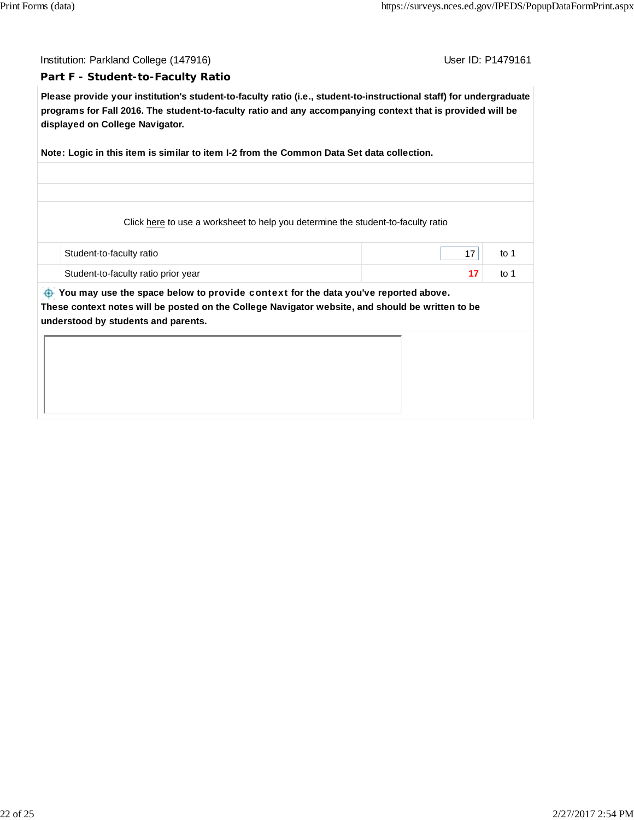Institution: Parkland College (147916) November 2012 12: P1479161

#### **Part F - Student-to-Faculty Ratio**

**Please provide your institution's student-to-faculty ratio (i.e., student-to-instructional staff) for undergraduate programs for Fall 2016. The student-to-faculty ratio and any accompanying context that is provided will be displayed on College Navigator.**

**Note: Logic in this item is similar to item I-2 from the Common Data Set data collection.**

Click here to use a worksheet to help you determine the student-to-faculty ratio

| Student-to-faculty ratio            | to |
|-------------------------------------|----|
| Student-to-faculty ratio prior year | to |

 **You may use the space below to** provide context **for the data you've reported above. These context notes will be posted on the College Navigator website, and should be written to be understood by students and parents.**

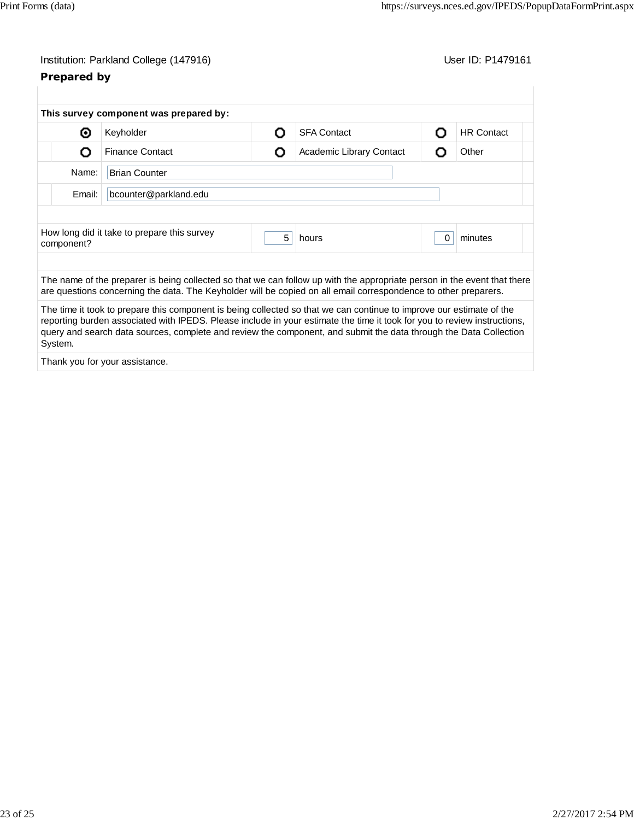# **Prepared by**

| This survey component was prepared by:      |   |                                                                                                                                                                                                                                                                                                                                                                       |          |                   |
|---------------------------------------------|---|-----------------------------------------------------------------------------------------------------------------------------------------------------------------------------------------------------------------------------------------------------------------------------------------------------------------------------------------------------------------------|----------|-------------------|
|                                             | റ | <b>SFA Contact</b>                                                                                                                                                                                                                                                                                                                                                    | O        | <b>HR Contact</b> |
| <b>Finance Contact</b>                      | O | Academic Library Contact                                                                                                                                                                                                                                                                                                                                              | O        | Other             |
| <b>Brian Counter</b>                        |   |                                                                                                                                                                                                                                                                                                                                                                       |          |                   |
| bcounter@parkland.edu                       |   |                                                                                                                                                                                                                                                                                                                                                                       |          |                   |
|                                             |   |                                                                                                                                                                                                                                                                                                                                                                       |          |                   |
| How long did it take to prepare this survey | 5 | hours                                                                                                                                                                                                                                                                                                                                                                 | $\Omega$ | minutes           |
|                                             |   |                                                                                                                                                                                                                                                                                                                                                                       |          |                   |
|                                             |   | The name of the preparer is being collected so that we can follow up with the appropriate person in the event that there<br>are questions concerning the data. The Keyholder will be copied on all email correspondence to other preparers.                                                                                                                           |          |                   |
|                                             |   | The time it took to prepare this component is being collected so that we can continue to improve our estimate of the<br>reporting burden associated with IPEDS. Please include in your estimate the time it took for you to review instructions,<br>query and search data sources, complete and review the component, and submit the data through the Data Collection |          |                   |
|                                             |   |                                                                                                                                                                                                                                                                                                                                                                       |          |                   |

Thank you for your assistance.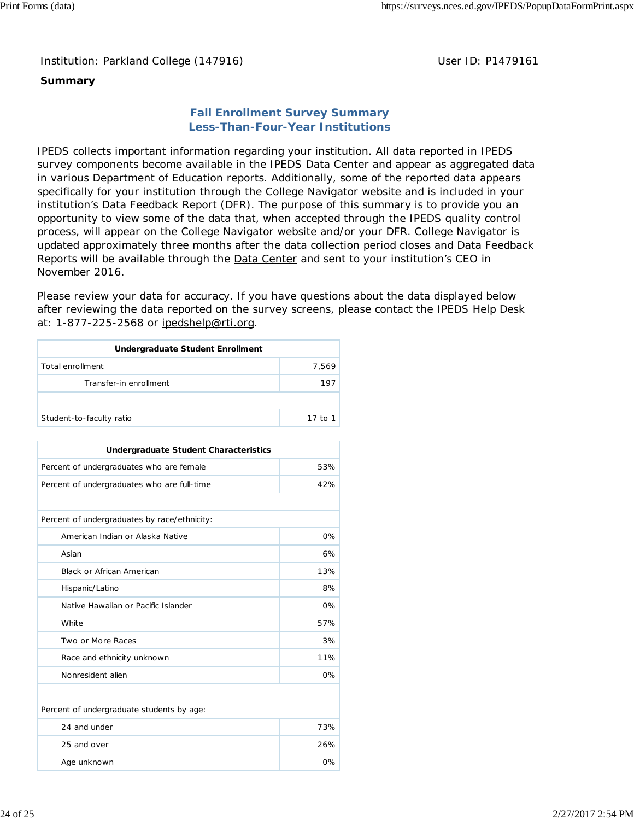Institution: Parkland College (147916) **Distribution: Parkland College (1479161** College College College College College College College College College College College College College College College College College Colle

# **Summary**

# **Fall Enrollment Survey Summary Less-Than-Four-Year Institutions**

IPEDS collects important information regarding your institution. All data reported in IPEDS survey components become available in the IPEDS Data Center and appear as aggregated data in various Department of Education reports. Additionally, some of the reported data appears specifically for your institution through the College Navigator website and is included in your institution's Data Feedback Report (DFR). The purpose of this summary is to provide you an opportunity to view some of the data that, when accepted through the IPEDS quality control process, will appear on the College Navigator website and/or your DFR. College Navigator is updated approximately three months after the data collection period closes and Data Feedback Reports will be available through the Data Center and sent to your institution's CEO in November 2016.

Please review your data for accuracy. If you have questions about the data displayed below after reviewing the data reported on the survey screens, please contact the IPEDS Help Desk at: 1-877-225-2568 or ipedshelp@rti.org.

| Undergraduate Student Enrollment |         |  |  |  |
|----------------------------------|---------|--|--|--|
| Total enrollment                 | 7.569   |  |  |  |
| Transfer-in enrollment           | 197     |  |  |  |
|                                  |         |  |  |  |
| Student-to-faculty ratio         | 17 to 1 |  |  |  |

| <b>Undergraduate Student Characteristics</b> |       |  |  |  |
|----------------------------------------------|-------|--|--|--|
| Percent of undergraduates who are female     | 53%   |  |  |  |
| Percent of undergraduates who are full-time  | 42%   |  |  |  |
|                                              |       |  |  |  |
| Percent of undergraduates by race/ethnicity: |       |  |  |  |
| American Indian or Alaska Native             | $0\%$ |  |  |  |
| Asian                                        | 6%    |  |  |  |
| <b>Black or African American</b>             | 13%   |  |  |  |
| Hispanic/Latino                              | 8%    |  |  |  |
| Native Hawaiian or Pacific Islander          | 0%    |  |  |  |
| White                                        | 57%   |  |  |  |
| Two or More Races                            | 3%    |  |  |  |
| Race and ethnicity unknown                   | 11%   |  |  |  |
| Nonresident alien                            | 0%    |  |  |  |
|                                              |       |  |  |  |
| Percent of undergraduate students by age:    |       |  |  |  |
| 24 and under                                 | 73%   |  |  |  |
| 25 and over                                  | 26%   |  |  |  |
| Age unknown                                  | 0%    |  |  |  |